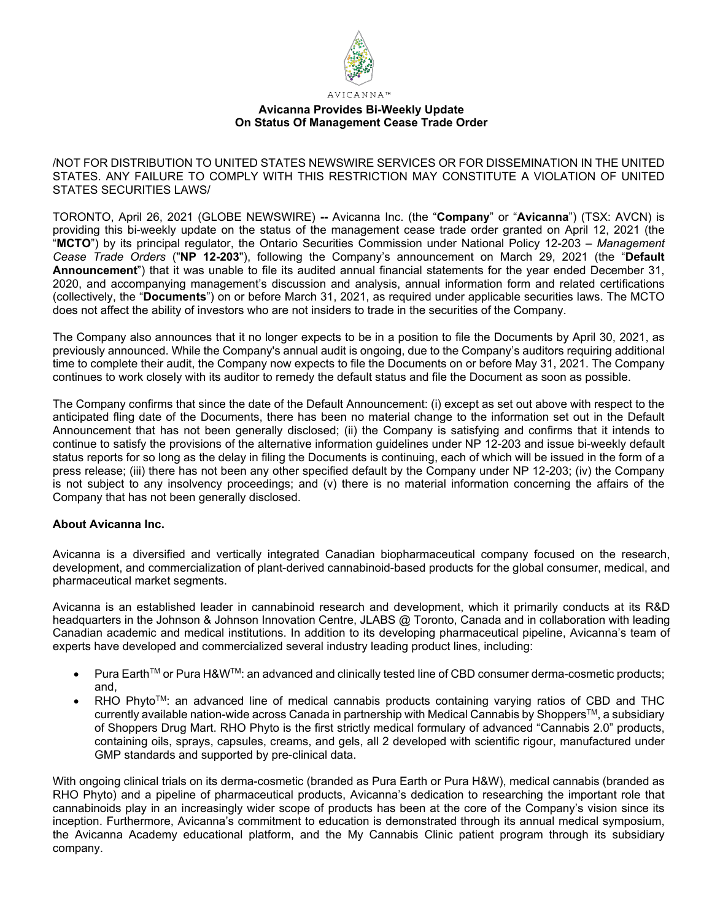

## **Avicanna Provides Bi-Weekly Update On Status Of Management Cease Trade Order**

/NOT FOR DISTRIBUTION TO UNITED STATES NEWSWIRE SERVICES OR FOR DISSEMINATION IN THE UNITED STATES. ANY FAILURE TO COMPLY WITH THIS RESTRICTION MAY CONSTITUTE A VIOLATION OF UNITED STATES SECURITIES LAWS/

TORONTO, April 26, 2021 (GLOBE NEWSWIRE) **--** Avicanna Inc. (the "**Company**" or "**Avicanna**") (TSX: AVCN) is providing this bi-weekly update on the status of the management cease trade order granted on April 12, 2021 (the "**MCTO**") by its principal regulator, the Ontario Securities Commission under National Policy 12-203 – *Management Cease Trade Orders* ("**NP 12-203**"), following the Company's announcement on March 29, 2021 (the "**Default Announcement**") that it was unable to file its audited annual financial statements for the year ended December 31, 2020, and accompanying management's discussion and analysis, annual information form and related certifications (collectively, the "**Documents**") on or before March 31, 2021, as required under applicable securities laws. The MCTO does not affect the ability of investors who are not insiders to trade in the securities of the Company.

The Company also announces that it no longer expects to be in a position to file the Documents by April 30, 2021, as previously announced. While the Company's annual audit is ongoing, due to the Company's auditors requiring additional time to complete their audit, the Company now expects to file the Documents on or before May 31, 2021. The Company continues to work closely with its auditor to remedy the default status and file the Document as soon as possible.

The Company confirms that since the date of the Default Announcement: (i) except as set out above with respect to the anticipated fling date of the Documents, there has been no material change to the information set out in the Default Announcement that has not been generally disclosed; (ii) the Company is satisfying and confirms that it intends to continue to satisfy the provisions of the alternative information guidelines under NP 12-203 and issue bi-weekly default status reports for so long as the delay in filing the Documents is continuing, each of which will be issued in the form of a press release; (iii) there has not been any other specified default by the Company under NP 12-203; (iv) the Company is not subject to any insolvency proceedings; and (v) there is no material information concerning the affairs of the Company that has not been generally disclosed.

# **About Avicanna Inc.**

Avicanna is a diversified and vertically integrated Canadian biopharmaceutical company focused on the research, development, and commercialization of plant-derived cannabinoid-based products for the global consumer, medical, and pharmaceutical market segments.

Avicanna is an established leader in cannabinoid research and development, which it primarily conducts at its R&D headquarters in the Johnson & Johnson Innovation Centre, JLABS @ Toronto, Canada and in collaboration with leading Canadian academic and medical institutions. In addition to its developing pharmaceutical pipeline, Avicanna's team of experts have developed and commercialized several industry leading product lines, including:

- Pura EarthTM or Pura H&WTM: an advanced and clinically tested line of CBD consumer derma-cosmetic products; and,
- $RHO$  Phyto<sup>TM</sup>: an advanced line of medical cannabis products containing varying ratios of CBD and THC currently available nation-wide across Canada in partnership with Medical Cannabis by Shoppers™, a subsidiary of Shoppers Drug Mart. RHO Phyto is the first strictly medical formulary of advanced "Cannabis 2.0" products, containing oils, sprays, capsules, creams, and gels, all 2 developed with scientific rigour, manufactured under GMP standards and supported by pre-clinical data.

With ongoing clinical trials on its derma-cosmetic (branded as Pura Earth or Pura H&W), medical cannabis (branded as RHO Phyto) and a pipeline of pharmaceutical products, Avicanna's dedication to researching the important role that cannabinoids play in an increasingly wider scope of products has been at the core of the Company's vision since its inception. Furthermore, Avicanna's commitment to education is demonstrated through its annual medical symposium, the Avicanna Academy educational platform, and the My Cannabis Clinic patient program through its subsidiary company.